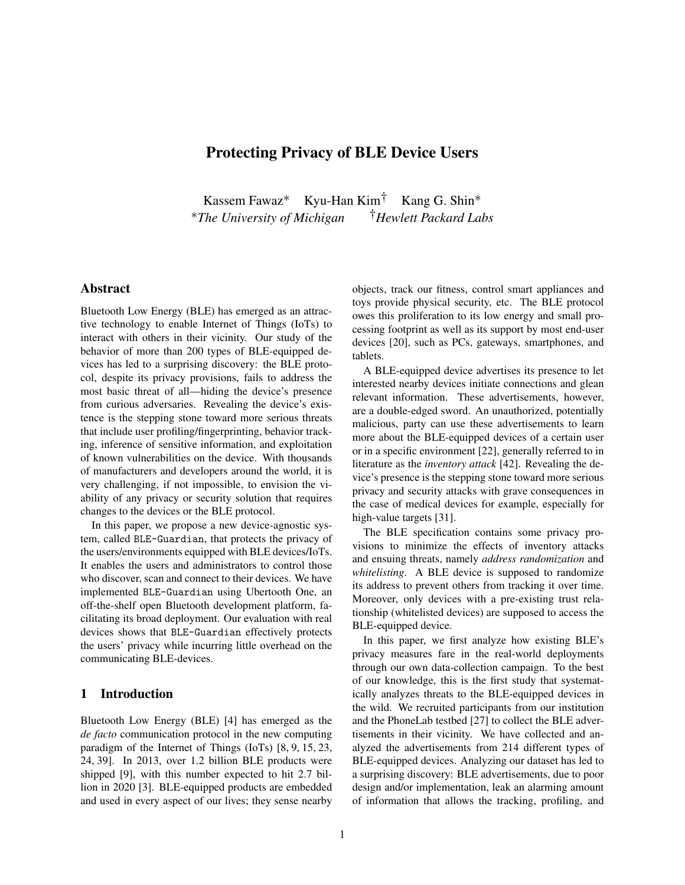# Protecting Privacy of BLE Device Users

Kassem Fawaz∗ Kyu-Han Kim† Kang G. Shin∗ ∗*The University of Michigan* †*Hewlett Packard Labs*

# Abstract

Bluetooth Low Energy (BLE) has emerged as an attractive technology to enable Internet of Things (IoTs) to interact with others in their vicinity. Our study of the behavior of more than 200 types of BLE-equipped devices has led to a surprising discovery: the BLE protocol, despite its privacy provisions, fails to address the most basic threat of all—hiding the device's presence from curious adversaries. Revealing the device's existence is the stepping stone toward more serious threats that include user profiling/fingerprinting, behavior tracking, inference of sensitive information, and exploitation of known vulnerabilities on the device. With thousands of manufacturers and developers around the world, it is very challenging, if not impossible, to envision the viability of any privacy or security solution that requires changes to the devices or the BLE protocol.

In this paper, we propose a new device-agnostic system, called BLE-Guardian, that protects the privacy of the users/environments equipped with BLE devices/IoTs. It enables the users and administrators to control those who discover, scan and connect to their devices. We have implemented BLE-Guardian using Ubertooth One, an off-the-shelf open Bluetooth development platform, facilitating its broad deployment. Our evaluation with real devices shows that BLE-Guardian effectively protects the users' privacy while incurring little overhead on the communicating BLE-devices.

## 1 Introduction

Bluetooth Low Energy (BLE) [4] has emerged as the *de facto* communication protocol in the new computing paradigm of the Internet of Things (IoTs) [8, 9, 15, 23, 24, 39]. In 2013, over 1.2 billion BLE products were shipped [9], with this number expected to hit 2.7 billion in 2020 [3]. BLE-equipped products are embedded and used in every aspect of our lives; they sense nearby objects, track our fitness, control smart appliances and toys provide physical security, etc. The BLE protocol owes this proliferation to its low energy and small processing footprint as well as its support by most end-user devices [20], such as PCs, gateways, smartphones, and tablets.

A BLE-equipped device advertises its presence to let interested nearby devices initiate connections and glean relevant information. These advertisements, however, are a double-edged sword. An unauthorized, potentially malicious, party can use these advertisements to learn more about the BLE-equipped devices of a certain user or in a specific environment [22], generally referred to in literature as the *inventory attack* [42]. Revealing the device's presence is the stepping stone toward more serious privacy and security attacks with grave consequences in the case of medical devices for example, especially for high-value targets [31].

The BLE specification contains some privacy provisions to minimize the effects of inventory attacks and ensuing threats, namely *address randomization* and *whitelisting*. A BLE device is supposed to randomize its address to prevent others from tracking it over time. Moreover, only devices with a pre-existing trust relationship (whitelisted devices) are supposed to access the BLE-equipped device.

In this paper, we first analyze how existing BLE's privacy measures fare in the real-world deployments through our own data-collection campaign. To the best of our knowledge, this is the first study that systematically analyzes threats to the BLE-equipped devices in the wild. We recruited participants from our institution and the PhoneLab testbed [27] to collect the BLE advertisements in their vicinity. We have collected and analyzed the advertisements from 214 different types of BLE-equipped devices. Analyzing our dataset has led to a surprising discovery: BLE advertisements, due to poor design and/or implementation, leak an alarming amount of information that allows the tracking, profiling, and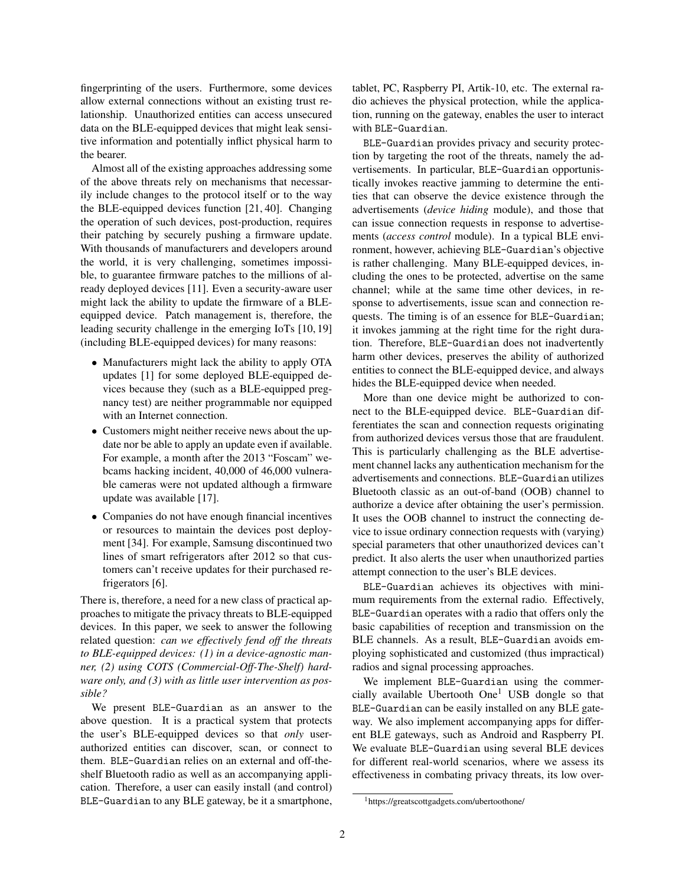fingerprinting of the users. Furthermore, some devices allow external connections without an existing trust relationship. Unauthorized entities can access unsecured data on the BLE-equipped devices that might leak sensitive information and potentially inflict physical harm to the bearer.

Almost all of the existing approaches addressing some of the above threats rely on mechanisms that necessarily include changes to the protocol itself or to the way the BLE-equipped devices function [21, 40]. Changing the operation of such devices, post-production, requires their patching by securely pushing a firmware update. With thousands of manufacturers and developers around the world, it is very challenging, sometimes impossible, to guarantee firmware patches to the millions of already deployed devices [11]. Even a security-aware user might lack the ability to update the firmware of a BLEequipped device. Patch management is, therefore, the leading security challenge in the emerging IoTs [10, 19] (including BLE-equipped devices) for many reasons:

- Manufacturers might lack the ability to apply OTA updates [1] for some deployed BLE-equipped devices because they (such as a BLE-equipped pregnancy test) are neither programmable nor equipped with an Internet connection.
- Customers might neither receive news about the update nor be able to apply an update even if available. For example, a month after the 2013 "Foscam" webcams hacking incident, 40,000 of 46,000 vulnerable cameras were not updated although a firmware update was available [17].
- Companies do not have enough financial incentives or resources to maintain the devices post deployment [34]. For example, Samsung discontinued two lines of smart refrigerators after 2012 so that customers can't receive updates for their purchased refrigerators [6].

There is, therefore, a need for a new class of practical approaches to mitigate the privacy threats to BLE-equipped devices. In this paper, we seek to answer the following related question: *can we effectively fend off the threats to BLE-equipped devices: (1) in a device-agnostic manner, (2) using COTS (Commercial-Off-The-Shelf) hardware only, and (3) with as little user intervention as possible?*

We present BLE-Guardian as an answer to the above question. It is a practical system that protects the user's BLE-equipped devices so that *only* userauthorized entities can discover, scan, or connect to them. BLE-Guardian relies on an external and off-theshelf Bluetooth radio as well as an accompanying application. Therefore, a user can easily install (and control) BLE-Guardian to any BLE gateway, be it a smartphone, tablet, PC, Raspberry PI, Artik-10, etc. The external radio achieves the physical protection, while the application, running on the gateway, enables the user to interact with BLE-Guardian.

BLE-Guardian provides privacy and security protection by targeting the root of the threats, namely the advertisements. In particular, BLE-Guardian opportunistically invokes reactive jamming to determine the entities that can observe the device existence through the advertisements (*device hiding* module), and those that can issue connection requests in response to advertisements (*access control* module). In a typical BLE environment, however, achieving BLE-Guardian's objective is rather challenging. Many BLE-equipped devices, including the ones to be protected, advertise on the same channel; while at the same time other devices, in response to advertisements, issue scan and connection requests. The timing is of an essence for BLE-Guardian; it invokes jamming at the right time for the right duration. Therefore, BLE-Guardian does not inadvertently harm other devices, preserves the ability of authorized entities to connect the BLE-equipped device, and always hides the BLE-equipped device when needed.

More than one device might be authorized to connect to the BLE-equipped device. BLE-Guardian differentiates the scan and connection requests originating from authorized devices versus those that are fraudulent. This is particularly challenging as the BLE advertisement channel lacks any authentication mechanism for the advertisements and connections. BLE-Guardian utilizes Bluetooth classic as an out-of-band (OOB) channel to authorize a device after obtaining the user's permission. It uses the OOB channel to instruct the connecting device to issue ordinary connection requests with (varying) special parameters that other unauthorized devices can't predict. It also alerts the user when unauthorized parties attempt connection to the user's BLE devices.

BLE-Guardian achieves its objectives with minimum requirements from the external radio. Effectively, BLE-Guardian operates with a radio that offers only the basic capabilities of reception and transmission on the BLE channels. As a result, BLE-Guardian avoids employing sophisticated and customized (thus impractical) radios and signal processing approaches.

We implement BLE-Guardian using the commercially available Ubertooth  $One<sup>1</sup>$  USB dongle so that BLE-Guardian can be easily installed on any BLE gateway. We also implement accompanying apps for different BLE gateways, such as Android and Raspberry PI. We evaluate BLE-Guardian using several BLE devices for different real-world scenarios, where we assess its effectiveness in combating privacy threats, its low over-

<sup>1</sup>https://greatscottgadgets.com/ubertoothone/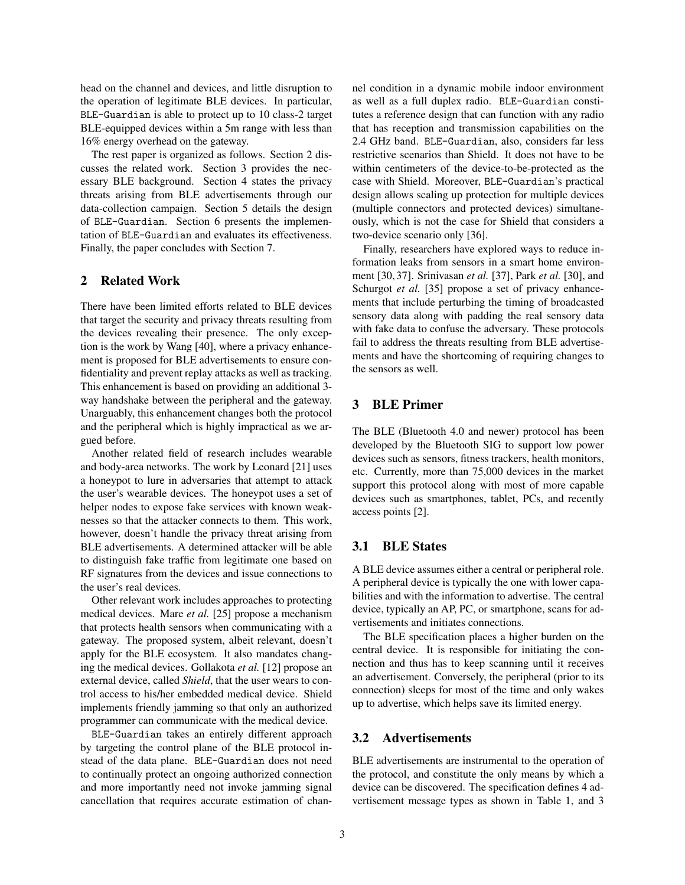head on the channel and devices, and little disruption to the operation of legitimate BLE devices. In particular, BLE-Guardian is able to protect up to 10 class-2 target BLE-equipped devices within a 5m range with less than 16% energy overhead on the gateway.

The rest paper is organized as follows. Section 2 discusses the related work. Section 3 provides the necessary BLE background. Section 4 states the privacy threats arising from BLE advertisements through our data-collection campaign. Section 5 details the design of BLE-Guardian. Section 6 presents the implementation of BLE-Guardian and evaluates its effectiveness. Finally, the paper concludes with Section 7.

### 2 Related Work

There have been limited efforts related to BLE devices that target the security and privacy threats resulting from the devices revealing their presence. The only exception is the work by Wang [40], where a privacy enhancement is proposed for BLE advertisements to ensure confidentiality and prevent replay attacks as well as tracking. This enhancement is based on providing an additional 3 way handshake between the peripheral and the gateway. Unarguably, this enhancement changes both the protocol and the peripheral which is highly impractical as we argued before.

Another related field of research includes wearable and body-area networks. The work by Leonard [21] uses a honeypot to lure in adversaries that attempt to attack the user's wearable devices. The honeypot uses a set of helper nodes to expose fake services with known weaknesses so that the attacker connects to them. This work, however, doesn't handle the privacy threat arising from BLE advertisements. A determined attacker will be able to distinguish fake traffic from legitimate one based on RF signatures from the devices and issue connections to the user's real devices.

Other relevant work includes approaches to protecting medical devices. Mare *et al.* [25] propose a mechanism that protects health sensors when communicating with a gateway. The proposed system, albeit relevant, doesn't apply for the BLE ecosystem. It also mandates changing the medical devices. Gollakota *et al.* [12] propose an external device, called *Shield*, that the user wears to control access to his/her embedded medical device. Shield implements friendly jamming so that only an authorized programmer can communicate with the medical device.

BLE-Guardian takes an entirely different approach by targeting the control plane of the BLE protocol instead of the data plane. BLE-Guardian does not need to continually protect an ongoing authorized connection and more importantly need not invoke jamming signal cancellation that requires accurate estimation of channel condition in a dynamic mobile indoor environment as well as a full duplex radio. BLE-Guardian constitutes a reference design that can function with any radio that has reception and transmission capabilities on the 2.4 GHz band. BLE-Guardian, also, considers far less restrictive scenarios than Shield. It does not have to be within centimeters of the device-to-be-protected as the case with Shield. Moreover, BLE-Guardian's practical design allows scaling up protection for multiple devices (multiple connectors and protected devices) simultaneously, which is not the case for Shield that considers a two-device scenario only [36].

Finally, researchers have explored ways to reduce information leaks from sensors in a smart home environment [30, 37]. Srinivasan *et al.* [37], Park *et al.* [30], and Schurgot *et al.* [35] propose a set of privacy enhancements that include perturbing the timing of broadcasted sensory data along with padding the real sensory data with fake data to confuse the adversary. These protocols fail to address the threats resulting from BLE advertisements and have the shortcoming of requiring changes to the sensors as well.

# 3 BLE Primer

The BLE (Bluetooth 4.0 and newer) protocol has been developed by the Bluetooth SIG to support low power devices such as sensors, fitness trackers, health monitors, etc. Currently, more than 75,000 devices in the market support this protocol along with most of more capable devices such as smartphones, tablet, PCs, and recently access points [2].

# 3.1 BLE States

A BLE device assumes either a central or peripheral role. A peripheral device is typically the one with lower capabilities and with the information to advertise. The central device, typically an AP, PC, or smartphone, scans for advertisements and initiates connections.

The BLE specification places a higher burden on the central device. It is responsible for initiating the connection and thus has to keep scanning until it receives an advertisement. Conversely, the peripheral (prior to its connection) sleeps for most of the time and only wakes up to advertise, which helps save its limited energy.

## 3.2 Advertisements

BLE advertisements are instrumental to the operation of the protocol, and constitute the only means by which a device can be discovered. The specification defines 4 advertisement message types as shown in Table 1, and 3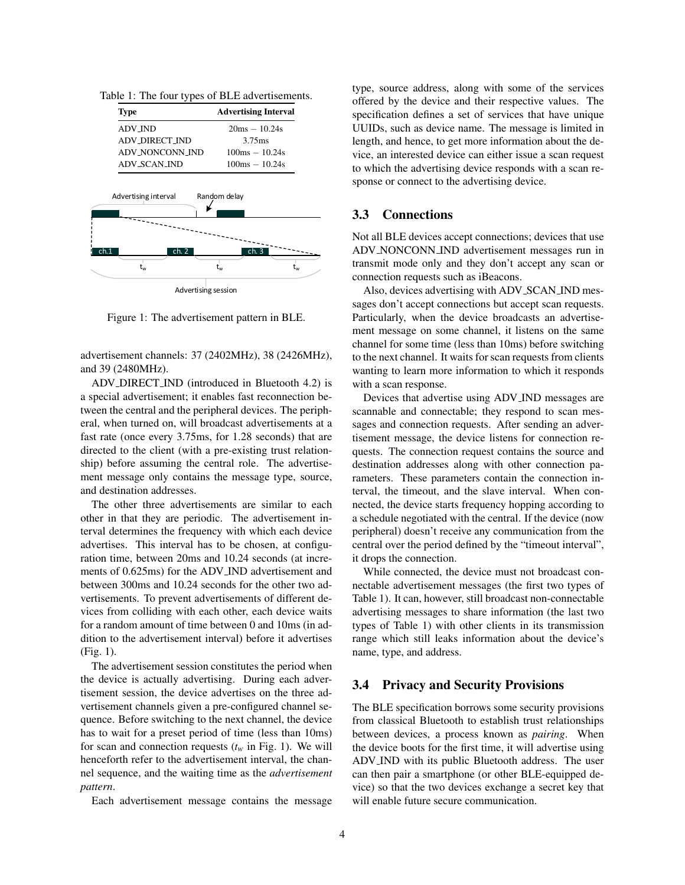|  |  |  | Table 1: The four types of BLE advertisements. |
|--|--|--|------------------------------------------------|
|--|--|--|------------------------------------------------|

| <b>Type</b>           | <b>Advertising Interval</b> |
|-----------------------|-----------------------------|
| <b>ADV_IND</b>        | $20ms - 10.24s$             |
| <b>ADV_DIRECT_IND</b> | 3.75ms                      |
| ADV_NONCONN_IND       | $100ms - 10.24s$            |
| <b>ADV_SCAN_IND</b>   | $100ms - 10.24s$            |
|                       |                             |
| ch.1<br>ch. 2         | ch. 3                       |
| t.,                   | t.,<br>t.,                  |
| Advertising session   |                             |

Figure 1: The advertisement pattern in BLE.

advertisement channels: 37 (2402MHz), 38 (2426MHz), and 39 (2480MHz).

ADV DIRECT IND (introduced in Bluetooth 4.2) is a special advertisement; it enables fast reconnection between the central and the peripheral devices. The peripheral, when turned on, will broadcast advertisements at a fast rate (once every 3.75ms, for 1.28 seconds) that are directed to the client (with a pre-existing trust relationship) before assuming the central role. The advertisement message only contains the message type, source, and destination addresses.

The other three advertisements are similar to each other in that they are periodic. The advertisement interval determines the frequency with which each device advertises. This interval has to be chosen, at configuration time, between 20ms and 10.24 seconds (at increments of 0.625ms) for the ADV IND advertisement and between 300ms and 10.24 seconds for the other two advertisements. To prevent advertisements of different devices from colliding with each other, each device waits for a random amount of time between 0 and 10ms (in addition to the advertisement interval) before it advertises (Fig. 1).

The advertisement session constitutes the period when the device is actually advertising. During each advertisement session, the device advertises on the three advertisement channels given a pre-configured channel sequence. Before switching to the next channel, the device has to wait for a preset period of time (less than 10ms) for scan and connection requests  $(t_w$  in Fig. 1). We will henceforth refer to the advertisement interval, the channel sequence, and the waiting time as the *advertisement pattern*.

Each advertisement message contains the message

type, source address, along with some of the services offered by the device and their respective values. The specification defines a set of services that have unique UUIDs, such as device name. The message is limited in length, and hence, to get more information about the device, an interested device can either issue a scan request to which the advertising device responds with a scan response or connect to the advertising device.

### 3.3 Connections

Not all BLE devices accept connections; devices that use ADV NONCONN IND advertisement messages run in transmit mode only and they don't accept any scan or connection requests such as iBeacons.

Also, devices advertising with ADV SCAN IND messages don't accept connections but accept scan requests. Particularly, when the device broadcasts an advertisement message on some channel, it listens on the same channel for some time (less than 10ms) before switching to the next channel. It waits for scan requests from clients wanting to learn more information to which it responds with a scan response.

Devices that advertise using ADV IND messages are scannable and connectable; they respond to scan messages and connection requests. After sending an advertisement message, the device listens for connection requests. The connection request contains the source and destination addresses along with other connection parameters. These parameters contain the connection interval, the timeout, and the slave interval. When connected, the device starts frequency hopping according to a schedule negotiated with the central. If the device (now peripheral) doesn't receive any communication from the central over the period defined by the "timeout interval", it drops the connection.

While connected, the device must not broadcast connectable advertisement messages (the first two types of Table 1). It can, however, still broadcast non-connectable advertising messages to share information (the last two types of Table 1) with other clients in its transmission range which still leaks information about the device's name, type, and address.

### 3.4 Privacy and Security Provisions

The BLE specification borrows some security provisions from classical Bluetooth to establish trust relationships between devices, a process known as *pairing*. When the device boots for the first time, it will advertise using ADV IND with its public Bluetooth address. The user can then pair a smartphone (or other BLE-equipped device) so that the two devices exchange a secret key that will enable future secure communication.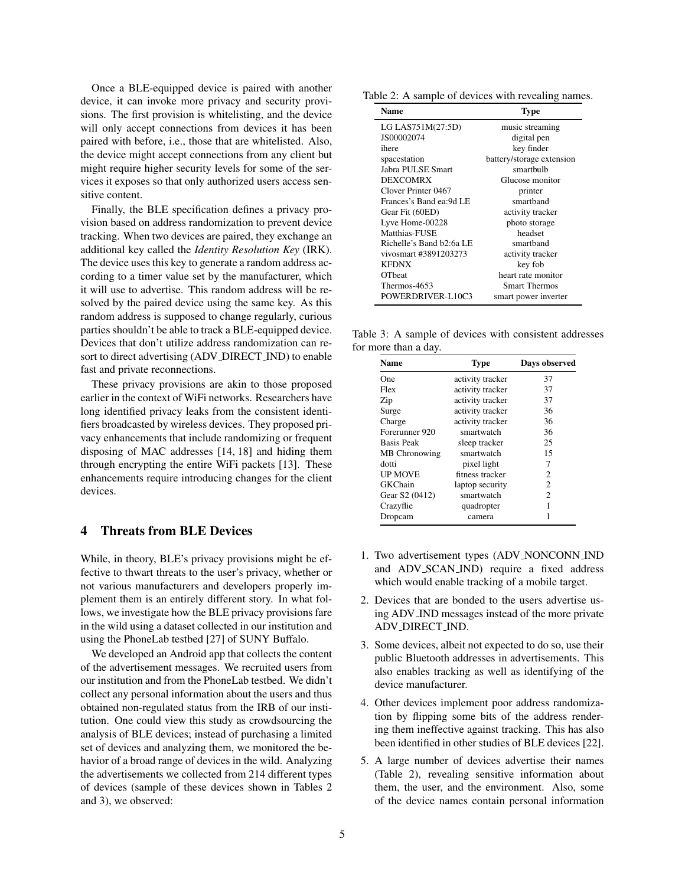Once a BLE-equipped device is paired with another device, it can invoke more privacy and security provisions. The first provision is whitelisting, and the device will only accept connections from devices it has been paired with before, i.e., those that are whitelisted. Also, the device might accept connections from any client but might require higher security levels for some of the services it exposes so that only authorized users access sensitive content.

Finally, the BLE specification defines a privacy provision based on address randomization to prevent device tracking. When two devices are paired, they exchange an additional key called the *Identity Resolution Key* (IRK). The device uses this key to generate a random address according to a timer value set by the manufacturer, which it will use to advertise. This random address will be resolved by the paired device using the same key. As this random address is supposed to change regularly, curious parties shouldn't be able to track a BLE-equipped device. Devices that don't utilize address randomization can resort to direct advertising (ADV DIRECT IND) to enable fast and private reconnections.

These privacy provisions are akin to those proposed earlier in the context of WiFi networks. Researchers have long identified privacy leaks from the consistent identifiers broadcasted by wireless devices. They proposed privacy enhancements that include randomizing or frequent disposing of MAC addresses [14, 18] and hiding them through encrypting the entire WiFi packets [13]. These enhancements require introducing changes for the client devices.

### 4 Threats from BLE Devices

While, in theory, BLE's privacy provisions might be effective to thwart threats to the user's privacy, whether or not various manufacturers and developers properly implement them is an entirely different story. In what follows, we investigate how the BLE privacy provisions fare in the wild using a dataset collected in our institution and using the PhoneLab testbed [27] of SUNY Buffalo.

We developed an Android app that collects the content of the advertisement messages. We recruited users from our institution and from the PhoneLab testbed. We didn't collect any personal information about the users and thus obtained non-regulated status from the IRB of our institution. One could view this study as crowdsourcing the analysis of BLE devices; instead of purchasing a limited set of devices and analyzing them, we monitored the behavior of a broad range of devices in the wild. Analyzing the advertisements we collected from 214 different types of devices (sample of these devices shown in Tables 2 and 3), we observed:

Table 2: A sample of devices with revealing names.

| Name                     | Type                      |  |
|--------------------------|---------------------------|--|
| LG LAS751M(27:5D)        | music streaming           |  |
| JS00002074               | digital pen               |  |
| ihere                    | key finder                |  |
| spacestation             | battery/storage extension |  |
| Jabra PULSE Smart        | smartbulb                 |  |
| <b>DEXCOMRX</b>          | Glucose monitor           |  |
| Clover Printer 0467      | printer                   |  |
| Frances's Band ea: 9d LE | smartband                 |  |
| Gear Fit (60ED)          | activity tracker          |  |
| Lyve Home-00228          | photo storage             |  |
| Matthias-FUSE            | headset                   |  |
| Richelle's Band b2:6a LE | smarthand                 |  |
| vivosmart #3891203273    | activity tracker          |  |
| <b>KFDNX</b>             | key fob                   |  |
| <b>OTheat</b>            | heart rate monitor        |  |
| Thermos-4653             | <b>Smart Thermos</b>      |  |
| POWERDRIVER-L10C3        | smart power inverter      |  |

Table 3: A sample of devices with consistent addresses for more than a day.

| 37<br>activity tracker<br>activity tracker<br>37<br>37<br>activity tracker<br>activity tracker<br>36 |
|------------------------------------------------------------------------------------------------------|
|                                                                                                      |
|                                                                                                      |
|                                                                                                      |
|                                                                                                      |
| activity tracker<br>36                                                                               |
| 36<br>smartwatch                                                                                     |
| 25<br>sleep tracker                                                                                  |
| smartwatch<br>15                                                                                     |
| 7<br>pixel light                                                                                     |
| fitness tracker<br>2                                                                                 |
| 2<br>laptop security                                                                                 |
| $\overline{c}$<br>smartwatch                                                                         |
| quadropter                                                                                           |
|                                                                                                      |
|                                                                                                      |

- 1. Two advertisement types (ADV NONCONN IND and ADV SCAN IND) require a fixed address which would enable tracking of a mobile target.
- 2. Devices that are bonded to the users advertise using ADV IND messages instead of the more private ADV DIRECT IND.
- 3. Some devices, albeit not expected to do so, use their public Bluetooth addresses in advertisements. This also enables tracking as well as identifying of the device manufacturer.
- 4. Other devices implement poor address randomization by flipping some bits of the address rendering them ineffective against tracking. This has also been identified in other studies of BLE devices [22].
- 5. A large number of devices advertise their names (Table 2), revealing sensitive information about them, the user, and the environment. Also, some of the device names contain personal information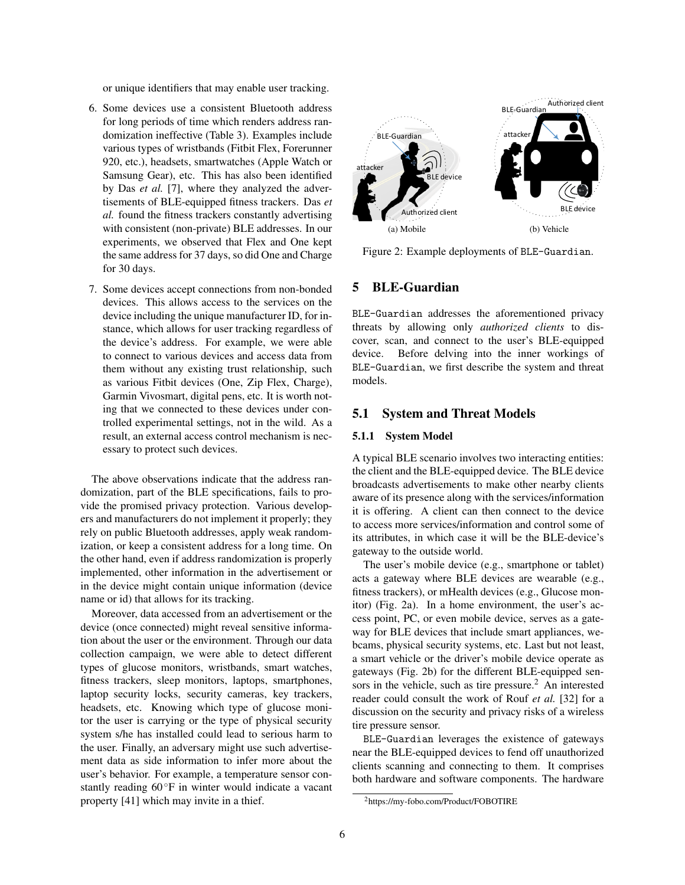or unique identifiers that may enable user tracking.

- 6. Some devices use a consistent Bluetooth address for long periods of time which renders address randomization ineffective (Table 3). Examples include various types of wristbands (Fitbit Flex, Forerunner 920, etc.), headsets, smartwatches (Apple Watch or Samsung Gear), etc. This has also been identified by Das *et al.* [7], where they analyzed the advertisements of BLE-equipped fitness trackers. Das *et al.* found the fitness trackers constantly advertising with consistent (non-private) BLE addresses. In our experiments, we observed that Flex and One kept the same address for 37 days, so did One and Charge for 30 days.
- 7. Some devices accept connections from non-bonded devices. This allows access to the services on the device including the unique manufacturer ID, for instance, which allows for user tracking regardless of the device's address. For example, we were able to connect to various devices and access data from them without any existing trust relationship, such as various Fitbit devices (One, Zip Flex, Charge), Garmin Vivosmart, digital pens, etc. It is worth noting that we connected to these devices under controlled experimental settings, not in the wild. As a result, an external access control mechanism is necessary to protect such devices.

The above observations indicate that the address randomization, part of the BLE specifications, fails to provide the promised privacy protection. Various developers and manufacturers do not implement it properly; they rely on public Bluetooth addresses, apply weak randomization, or keep a consistent address for a long time. On the other hand, even if address randomization is properly implemented, other information in the advertisement or in the device might contain unique information (device name or id) that allows for its tracking.

Moreover, data accessed from an advertisement or the device (once connected) might reveal sensitive information about the user or the environment. Through our data collection campaign, we were able to detect different types of glucose monitors, wristbands, smart watches, fitness trackers, sleep monitors, laptops, smartphones, laptop security locks, security cameras, key trackers, headsets, etc. Knowing which type of glucose monitor the user is carrying or the type of physical security system s/he has installed could lead to serious harm to the user. Finally, an adversary might use such advertisement data as side information to infer more about the user's behavior. For example, a temperature sensor constantly reading 60◦F in winter would indicate a vacant property [41] which may invite in a thief.



Figure 2: Example deployments of BLE-Guardian.

#### 5 BLE-Guardian

BLE-Guardian addresses the aforementioned privacy threats by allowing only *authorized clients* to discover, scan, and connect to the user's BLE-equipped device. Before delving into the inner workings of BLE-Guardian, we first describe the system and threat models.

#### 5.1 System and Threat Models

#### 5.1.1 System Model

A typical BLE scenario involves two interacting entities: the client and the BLE-equipped device. The BLE device broadcasts advertisements to make other nearby clients aware of its presence along with the services/information it is offering. A client can then connect to the device to access more services/information and control some of its attributes, in which case it will be the BLE-device's gateway to the outside world.

The user's mobile device (e.g., smartphone or tablet) acts a gateway where BLE devices are wearable (e.g., fitness trackers), or mHealth devices (e.g., Glucose monitor) (Fig. 2a). In a home environment, the user's access point, PC, or even mobile device, serves as a gateway for BLE devices that include smart appliances, webcams, physical security systems, etc. Last but not least, a smart vehicle or the driver's mobile device operate as gateways (Fig. 2b) for the different BLE-equipped sensors in the vehicle, such as tire pressure.<sup>2</sup> An interested reader could consult the work of Rouf *et al.* [32] for a discussion on the security and privacy risks of a wireless tire pressure sensor.

BLE-Guardian leverages the existence of gateways near the BLE-equipped devices to fend off unauthorized clients scanning and connecting to them. It comprises both hardware and software components. The hardware

<sup>2</sup>https://my-fobo.com/Product/FOBOTIRE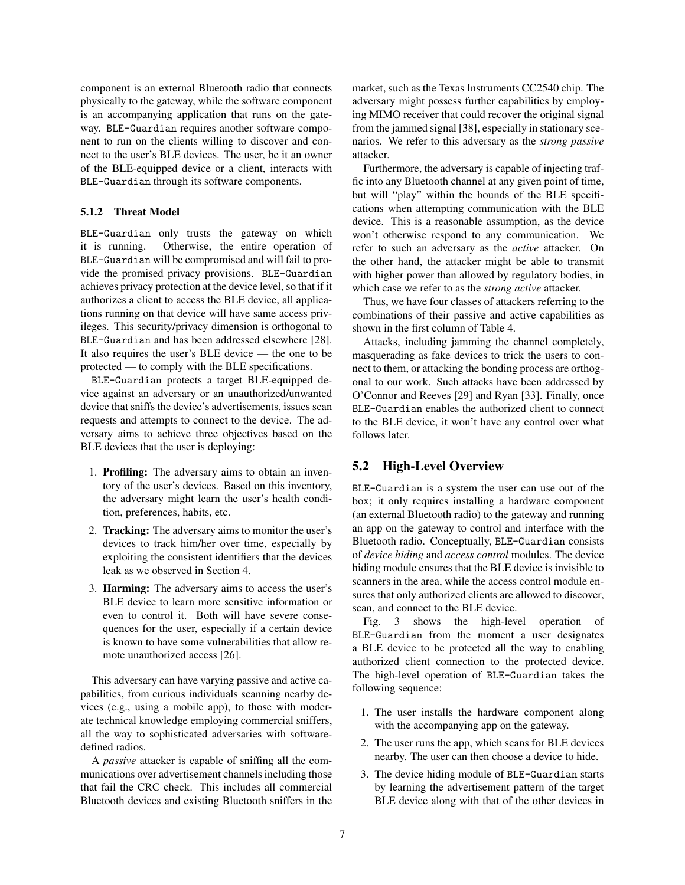component is an external Bluetooth radio that connects physically to the gateway, while the software component is an accompanying application that runs on the gateway. BLE-Guardian requires another software component to run on the clients willing to discover and connect to the user's BLE devices. The user, be it an owner of the BLE-equipped device or a client, interacts with BLE-Guardian through its software components.

#### 5.1.2 Threat Model

BLE-Guardian only trusts the gateway on which it is running. Otherwise, the entire operation of BLE-Guardian will be compromised and will fail to provide the promised privacy provisions. BLE-Guardian achieves privacy protection at the device level, so that if it authorizes a client to access the BLE device, all applications running on that device will have same access privileges. This security/privacy dimension is orthogonal to BLE-Guardian and has been addressed elsewhere [28]. It also requires the user's BLE device — the one to be protected — to comply with the BLE specifications.

BLE-Guardian protects a target BLE-equipped device against an adversary or an unauthorized/unwanted device that sniffs the device's advertisements, issues scan requests and attempts to connect to the device. The adversary aims to achieve three objectives based on the BLE devices that the user is deploying:

- 1. Profiling: The adversary aims to obtain an inventory of the user's devices. Based on this inventory, the adversary might learn the user's health condition, preferences, habits, etc.
- 2. Tracking: The adversary aims to monitor the user's devices to track him/her over time, especially by exploiting the consistent identifiers that the devices leak as we observed in Section 4.
- 3. Harming: The adversary aims to access the user's BLE device to learn more sensitive information or even to control it. Both will have severe consequences for the user, especially if a certain device is known to have some vulnerabilities that allow remote unauthorized access [26].

This adversary can have varying passive and active capabilities, from curious individuals scanning nearby devices (e.g., using a mobile app), to those with moderate technical knowledge employing commercial sniffers, all the way to sophisticated adversaries with softwaredefined radios.

A *passive* attacker is capable of sniffing all the communications over advertisement channels including those that fail the CRC check. This includes all commercial Bluetooth devices and existing Bluetooth sniffers in the market, such as the Texas Instruments CC2540 chip. The adversary might possess further capabilities by employing MIMO receiver that could recover the original signal from the jammed signal [38], especially in stationary scenarios. We refer to this adversary as the *strong passive* attacker.

Furthermore, the adversary is capable of injecting traffic into any Bluetooth channel at any given point of time, but will "play" within the bounds of the BLE specifications when attempting communication with the BLE device. This is a reasonable assumption, as the device won't otherwise respond to any communication. We refer to such an adversary as the *active* attacker. On the other hand, the attacker might be able to transmit with higher power than allowed by regulatory bodies, in which case we refer to as the *strong active* attacker.

Thus, we have four classes of attackers referring to the combinations of their passive and active capabilities as shown in the first column of Table 4.

Attacks, including jamming the channel completely, masquerading as fake devices to trick the users to connect to them, or attacking the bonding process are orthogonal to our work. Such attacks have been addressed by O'Connor and Reeves [29] and Ryan [33]. Finally, once BLE-Guardian enables the authorized client to connect to the BLE device, it won't have any control over what follows later.

# 5.2 High-Level Overview

BLE-Guardian is a system the user can use out of the box; it only requires installing a hardware component (an external Bluetooth radio) to the gateway and running an app on the gateway to control and interface with the Bluetooth radio. Conceptually, BLE-Guardian consists of *device hiding* and *access control* modules. The device hiding module ensures that the BLE device is invisible to scanners in the area, while the access control module ensures that only authorized clients are allowed to discover, scan, and connect to the BLE device.

Fig. 3 shows the high-level operation of BLE-Guardian from the moment a user designates a BLE device to be protected all the way to enabling authorized client connection to the protected device. The high-level operation of BLE-Guardian takes the following sequence:

- 1. The user installs the hardware component along with the accompanying app on the gateway.
- 2. The user runs the app, which scans for BLE devices nearby. The user can then choose a device to hide.
- 3. The device hiding module of BLE-Guardian starts by learning the advertisement pattern of the target BLE device along with that of the other devices in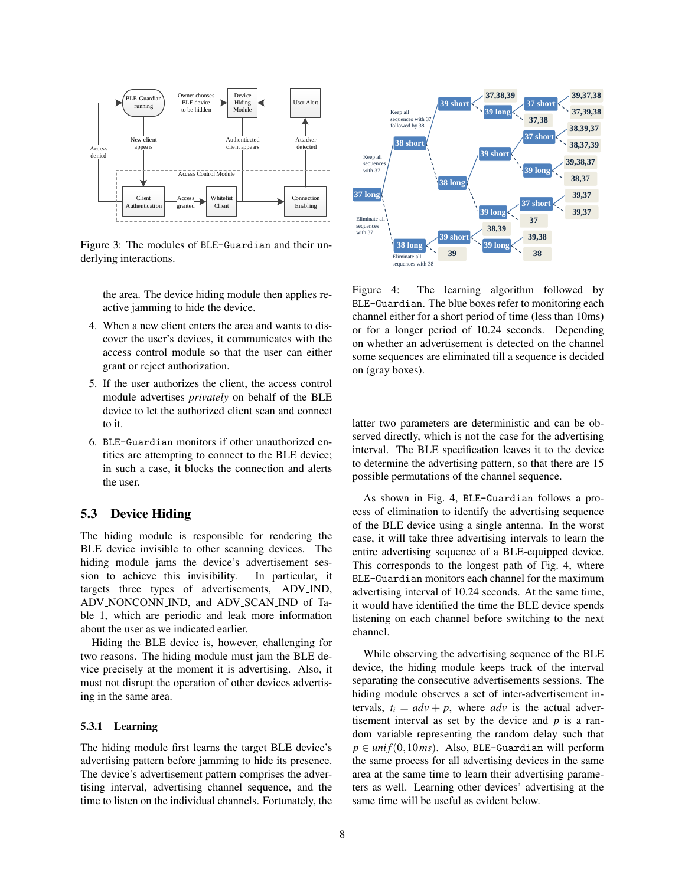

Figure 3: The modules of BLE-Guardian and their underlying interactions.

the area. The device hiding module then applies reactive jamming to hide the device.

- 4. When a new client enters the area and wants to discover the user's devices, it communicates with the access control module so that the user can either grant or reject authorization.
- 5. If the user authorizes the client, the access control module advertises *privately* on behalf of the BLE device to let the authorized client scan and connect to it.
- 6. BLE-Guardian monitors if other unauthorized entities are attempting to connect to the BLE device; in such a case, it blocks the connection and alerts the user.

## 5.3 Device Hiding

The hiding module is responsible for rendering the BLE device invisible to other scanning devices. The hiding module jams the device's advertisement session to achieve this invisibility. In particular, it targets three types of advertisements, ADV IND, ADV NONCONN IND, and ADV SCAN IND of Table 1, which are periodic and leak more information about the user as we indicated earlier.

Hiding the BLE device is, however, challenging for two reasons. The hiding module must jam the BLE device precisely at the moment it is advertising. Also, it must not disrupt the operation of other devices advertising in the same area.

#### 5.3.1 Learning

The hiding module first learns the target BLE device's advertising pattern before jamming to hide its presence. The device's advertisement pattern comprises the advertising interval, advertising channel sequence, and the time to listen on the individual channels. Fortunately, the



Figure 4: The learning algorithm followed by BLE-Guardian. The blue boxes refer to monitoring each channel either for a short period of time (less than 10ms) or for a longer period of 10.24 seconds. Depending on whether an advertisement is detected on the channel some sequences are eliminated till a sequence is decided on (gray boxes).

latter two parameters are deterministic and can be observed directly, which is not the case for the advertising interval. The BLE specification leaves it to the device to determine the advertising pattern, so that there are 15 possible permutations of the channel sequence.

As shown in Fig. 4, BLE-Guardian follows a process of elimination to identify the advertising sequence of the BLE device using a single antenna. In the worst case, it will take three advertising intervals to learn the entire advertising sequence of a BLE-equipped device. This corresponds to the longest path of Fig. 4, where BLE-Guardian monitors each channel for the maximum advertising interval of 10.24 seconds. At the same time, it would have identified the time the BLE device spends listening on each channel before switching to the next channel.

While observing the advertising sequence of the BLE device, the hiding module keeps track of the interval separating the consecutive advertisements sessions. The hiding module observes a set of inter-advertisement intervals,  $t_i = adv + p$ , where *adv* is the actual advertisement interval as set by the device and  $p$  is a random variable representing the random delay such that  $p \in \text{unif}(0,10\text{ms})$ . Also, BLE-Guardian will perform the same process for all advertising devices in the same area at the same time to learn their advertising parameters as well. Learning other devices' advertising at the same time will be useful as evident below.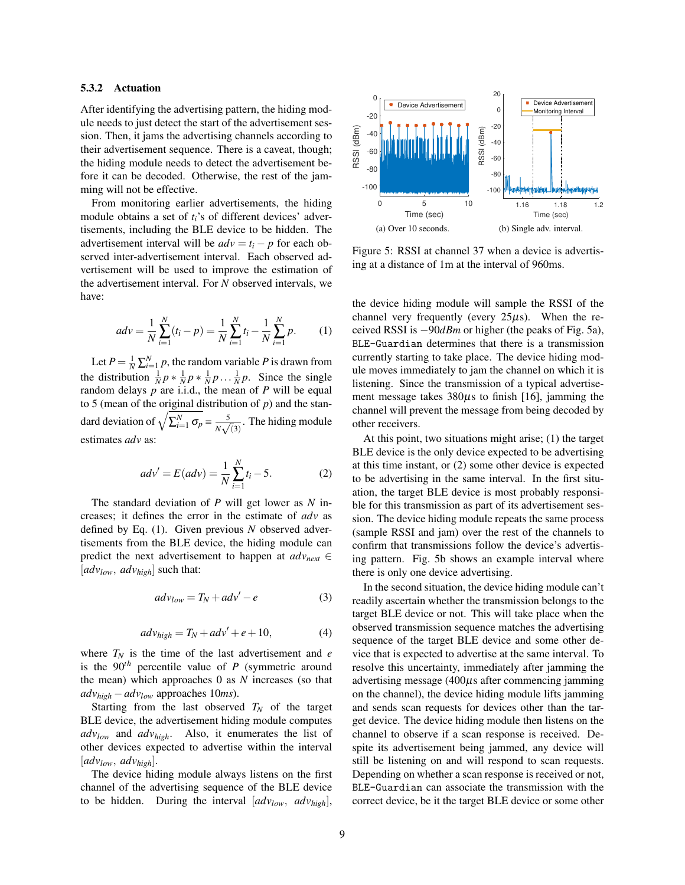#### 5.3.2 Actuation

After identifying the advertising pattern, the hiding module needs to just detect the start of the advertisement session. Then, it jams the advertising channels according to their advertisement sequence. There is a caveat, though; the hiding module needs to detect the advertisement before it can be decoded. Otherwise, the rest of the jamming will not be effective.

From monitoring earlier advertisements, the hiding module obtains a set of  $t_i$ 's of different devices' advertisements, including the BLE device to be hidden. The advertisement interval will be  $adv = t_i - p$  for each observed inter-advertisement interval. Each observed advertisement will be used to improve the estimation of the advertisement interval. For *N* observed intervals, we have:

$$
adv = \frac{1}{N} \sum_{i=1}^{N} (t_i - p) = \frac{1}{N} \sum_{i=1}^{N} t_i - \frac{1}{N} \sum_{i=1}^{N} p.
$$
 (1)

Let  $P = \frac{1}{N} \sum_{i=1}^{N} p$ , the random variable *P* is drawn from the distribution  $\frac{1}{N}p * \frac{1}{N}p * \frac{1}{N}p \dots \frac{1}{N}p$ . Since the single random delays  $p$  are i.i.d., the mean of  $P$  will be equal to 5 (mean of the original distribution of *p*) and the standard deviation of  $\sqrt{\sum_{i=1}^{N} \sigma_p} = \frac{5}{N_A}$  $\frac{5}{N\sqrt{3}}$ . The hiding module estimates *adv* as:

$$
adv' = E(adv) = \frac{1}{N} \sum_{i=1}^{N} t_i - 5.
$$
 (2)

The standard deviation of *P* will get lower as *N* increases; it defines the error in the estimate of *adv* as defined by Eq. (1). Given previous *N* observed advertisements from the BLE device, the hiding module can predict the next advertisement to happen at  $adv_{next} \in$ [*advlow*, *advhigh*] such that:

$$
adv_{low} = T_N + adv' - e \tag{3}
$$

$$
adv_{high} = T_N + adv' + e + 10,
$$
 (4)

where  $T_N$  is the time of the last advertisement and *e* is the  $90<sup>th</sup>$  percentile value of *P* (symmetric around the mean) which approaches 0 as *N* increases (so that  $adv_{high} - adv_{low}$  approaches 10*ms*).

Starting from the last observed  $T_N$  of the target BLE device, the advertisement hiding module computes *advlow* and *advhigh*. Also, it enumerates the list of other devices expected to advertise within the interval [*advlow*, *advhigh*].

The device hiding module always listens on the first channel of the advertising sequence of the BLE device to be hidden. During the interval [*advlow*, *advhigh*],



Figure 5: RSSI at channel 37 when a device is advertising at a distance of 1m at the interval of 960ms.

the device hiding module will sample the RSSI of the channel very frequently (every  $25\mu s$ ). When the received RSSI is −90*dBm* or higher (the peaks of Fig. 5a), BLE-Guardian determines that there is a transmission currently starting to take place. The device hiding module moves immediately to jam the channel on which it is listening. Since the transmission of a typical advertisement message takes  $380\mu s$  to finish [16], jamming the channel will prevent the message from being decoded by other receivers.

At this point, two situations might arise; (1) the target BLE device is the only device expected to be advertising at this time instant, or (2) some other device is expected to be advertising in the same interval. In the first situation, the target BLE device is most probably responsible for this transmission as part of its advertisement session. The device hiding module repeats the same process (sample RSSI and jam) over the rest of the channels to confirm that transmissions follow the device's advertising pattern. Fig. 5b shows an example interval where there is only one device advertising.

In the second situation, the device hiding module can't readily ascertain whether the transmission belongs to the target BLE device or not. This will take place when the observed transmission sequence matches the advertising sequence of the target BLE device and some other device that is expected to advertise at the same interval. To resolve this uncertainty, immediately after jamming the advertising message  $(400\mu s)$  after commencing jamming on the channel), the device hiding module lifts jamming and sends scan requests for devices other than the target device. The device hiding module then listens on the channel to observe if a scan response is received. Despite its advertisement being jammed, any device will still be listening on and will respond to scan requests. Depending on whether a scan response is received or not, BLE-Guardian can associate the transmission with the correct device, be it the target BLE device or some other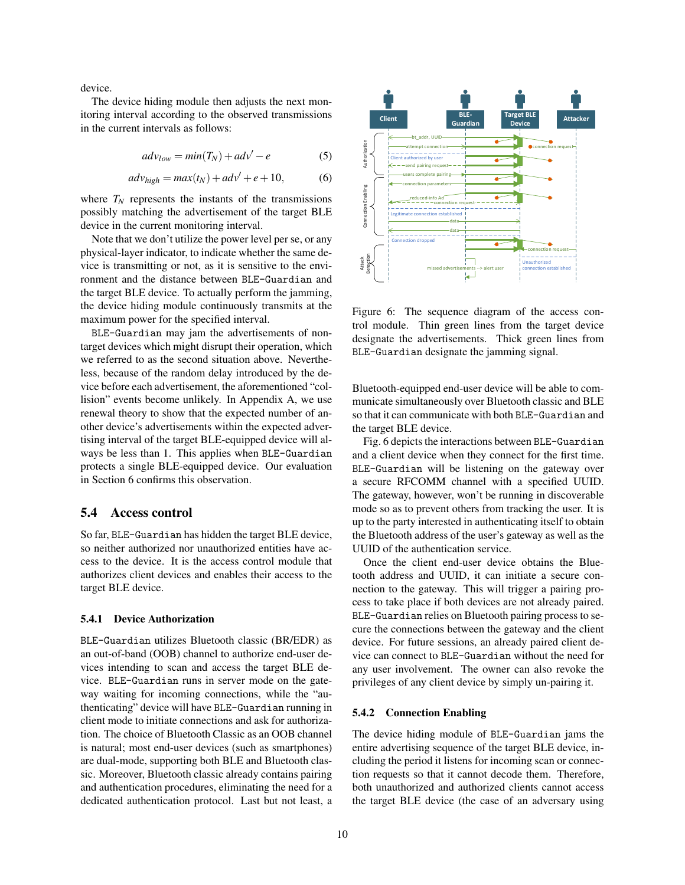device.

The device hiding module then adjusts the next monitoring interval according to the observed transmissions in the current intervals as follows:

$$
adv_{low} = min(T_N) + adv' - e \tag{5}
$$

$$
adv_{high} = max(t_N) + adv' + e + 10,
$$
 (6)

where  $T_N$  represents the instants of the transmissions possibly matching the advertisement of the target BLE device in the current monitoring interval.

Note that we don't utilize the power level per se, or any physical-layer indicator, to indicate whether the same device is transmitting or not, as it is sensitive to the environment and the distance between BLE-Guardian and the target BLE device. To actually perform the jamming, the device hiding module continuously transmits at the maximum power for the specified interval.

BLE-Guardian may jam the advertisements of nontarget devices which might disrupt their operation, which we referred to as the second situation above. Nevertheless, because of the random delay introduced by the device before each advertisement, the aforementioned "collision" events become unlikely. In Appendix A, we use renewal theory to show that the expected number of another device's advertisements within the expected advertising interval of the target BLE-equipped device will always be less than 1. This applies when BLE-Guardian protects a single BLE-equipped device. Our evaluation in Section 6 confirms this observation.

## 5.4 Access control

So far, BLE-Guardian has hidden the target BLE device, so neither authorized nor unauthorized entities have access to the device. It is the access control module that authorizes client devices and enables their access to the target BLE device.

#### 5.4.1 Device Authorization

BLE-Guardian utilizes Bluetooth classic (BR/EDR) as an out-of-band (OOB) channel to authorize end-user devices intending to scan and access the target BLE device. BLE-Guardian runs in server mode on the gateway waiting for incoming connections, while the "authenticating" device will have BLE-Guardian running in client mode to initiate connections and ask for authorization. The choice of Bluetooth Classic as an OOB channel is natural; most end-user devices (such as smartphones) are dual-mode, supporting both BLE and Bluetooth classic. Moreover, Bluetooth classic already contains pairing and authentication procedures, eliminating the need for a dedicated authentication protocol. Last but not least, a



Figure 6: The sequence diagram of the access control module. Thin green lines from the target device designate the advertisements. Thick green lines from BLE-Guardian designate the jamming signal.

Bluetooth-equipped end-user device will be able to communicate simultaneously over Bluetooth classic and BLE so that it can communicate with both BLE-Guardian and the target BLE device.

Fig. 6 depicts the interactions between BLE-Guardian and a client device when they connect for the first time. BLE-Guardian will be listening on the gateway over a secure RFCOMM channel with a specified UUID. The gateway, however, won't be running in discoverable mode so as to prevent others from tracking the user. It is up to the party interested in authenticating itself to obtain the Bluetooth address of the user's gateway as well as the UUID of the authentication service.

Once the client end-user device obtains the Bluetooth address and UUID, it can initiate a secure connection to the gateway. This will trigger a pairing process to take place if both devices are not already paired. BLE-Guardian relies on Bluetooth pairing process to secure the connections between the gateway and the client device. For future sessions, an already paired client device can connect to BLE-Guardian without the need for any user involvement. The owner can also revoke the privileges of any client device by simply un-pairing it.

#### 5.4.2 Connection Enabling

The device hiding module of BLE-Guardian jams the entire advertising sequence of the target BLE device, including the period it listens for incoming scan or connection requests so that it cannot decode them. Therefore, both unauthorized and authorized clients cannot access the target BLE device (the case of an adversary using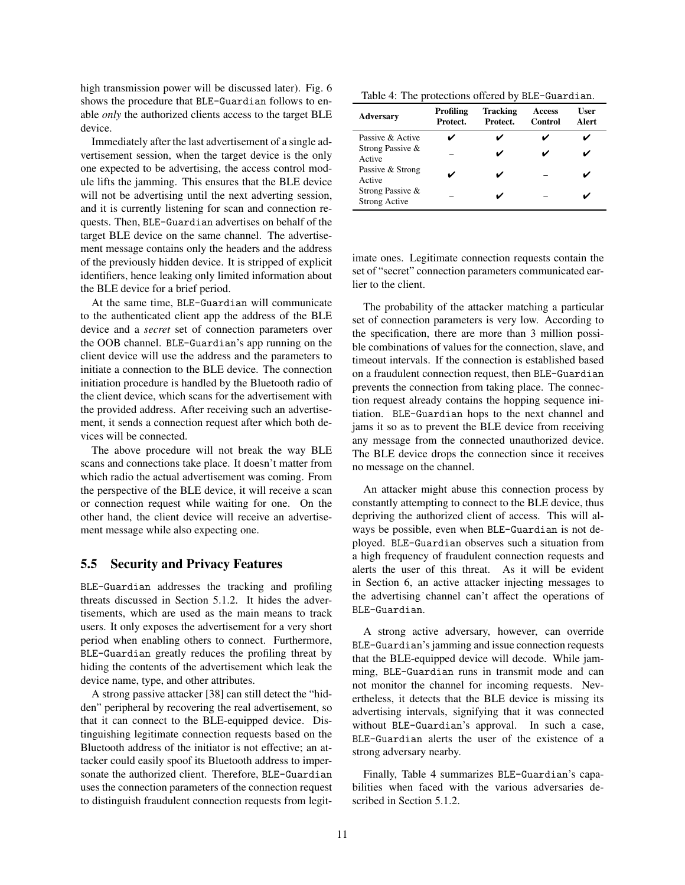high transmission power will be discussed later). Fig. 6 shows the procedure that BLE-Guardian follows to enable *only* the authorized clients access to the target BLE device.

Immediately after the last advertisement of a single advertisement session, when the target device is the only one expected to be advertising, the access control module lifts the jamming. This ensures that the BLE device will not be advertising until the next adverting session, and it is currently listening for scan and connection requests. Then, BLE-Guardian advertises on behalf of the target BLE device on the same channel. The advertisement message contains only the headers and the address of the previously hidden device. It is stripped of explicit identifiers, hence leaking only limited information about the BLE device for a brief period.

At the same time, BLE-Guardian will communicate to the authenticated client app the address of the BLE device and a *secret* set of connection parameters over the OOB channel. BLE-Guardian's app running on the client device will use the address and the parameters to initiate a connection to the BLE device. The connection initiation procedure is handled by the Bluetooth radio of the client device, which scans for the advertisement with the provided address. After receiving such an advertisement, it sends a connection request after which both devices will be connected.

The above procedure will not break the way BLE scans and connections take place. It doesn't matter from which radio the actual advertisement was coming. From the perspective of the BLE device, it will receive a scan or connection request while waiting for one. On the other hand, the client device will receive an advertisement message while also expecting one.

#### 5.5 Security and Privacy Features

BLE-Guardian addresses the tracking and profiling threats discussed in Section 5.1.2. It hides the advertisements, which are used as the main means to track users. It only exposes the advertisement for a very short period when enabling others to connect. Furthermore, BLE-Guardian greatly reduces the profiling threat by hiding the contents of the advertisement which leak the device name, type, and other attributes.

A strong passive attacker [38] can still detect the "hidden" peripheral by recovering the real advertisement, so that it can connect to the BLE-equipped device. Distinguishing legitimate connection requests based on the Bluetooth address of the initiator is not effective; an attacker could easily spoof its Bluetooth address to impersonate the authorized client. Therefore, BLE-Guardian uses the connection parameters of the connection request to distinguish fraudulent connection requests from legit-

|  | Table 4: The protections offered by BLE-Guardian. |
|--|---------------------------------------------------|
|  |                                                   |

| <b>Adversary</b>                         | Profiling<br>Protect. | Tracking<br>Protect. | <b>Access</b><br>Control | User<br>Alert |
|------------------------------------------|-----------------------|----------------------|--------------------------|---------------|
| Passive & Active                         |                       |                      |                          |               |
| Strong Passive &<br>Active               |                       |                      | ັ                        |               |
| Passive & Strong<br>Active               |                       |                      |                          |               |
| Strong Passive &<br><b>Strong Active</b> |                       |                      |                          |               |

imate ones. Legitimate connection requests contain the set of "secret" connection parameters communicated earlier to the client.

The probability of the attacker matching a particular set of connection parameters is very low. According to the specification, there are more than 3 million possible combinations of values for the connection, slave, and timeout intervals. If the connection is established based on a fraudulent connection request, then BLE-Guardian prevents the connection from taking place. The connection request already contains the hopping sequence initiation. BLE-Guardian hops to the next channel and jams it so as to prevent the BLE device from receiving any message from the connected unauthorized device. The BLE device drops the connection since it receives no message on the channel.

An attacker might abuse this connection process by constantly attempting to connect to the BLE device, thus depriving the authorized client of access. This will always be possible, even when BLE-Guardian is not deployed. BLE-Guardian observes such a situation from a high frequency of fraudulent connection requests and alerts the user of this threat. As it will be evident in Section 6, an active attacker injecting messages to the advertising channel can't affect the operations of BLE-Guardian.

A strong active adversary, however, can override BLE-Guardian's jamming and issue connection requests that the BLE-equipped device will decode. While jamming, BLE-Guardian runs in transmit mode and can not monitor the channel for incoming requests. Nevertheless, it detects that the BLE device is missing its advertising intervals, signifying that it was connected without BLE-Guardian's approval. In such a case, BLE-Guardian alerts the user of the existence of a strong adversary nearby.

Finally, Table 4 summarizes BLE-Guardian's capabilities when faced with the various adversaries described in Section 5.1.2.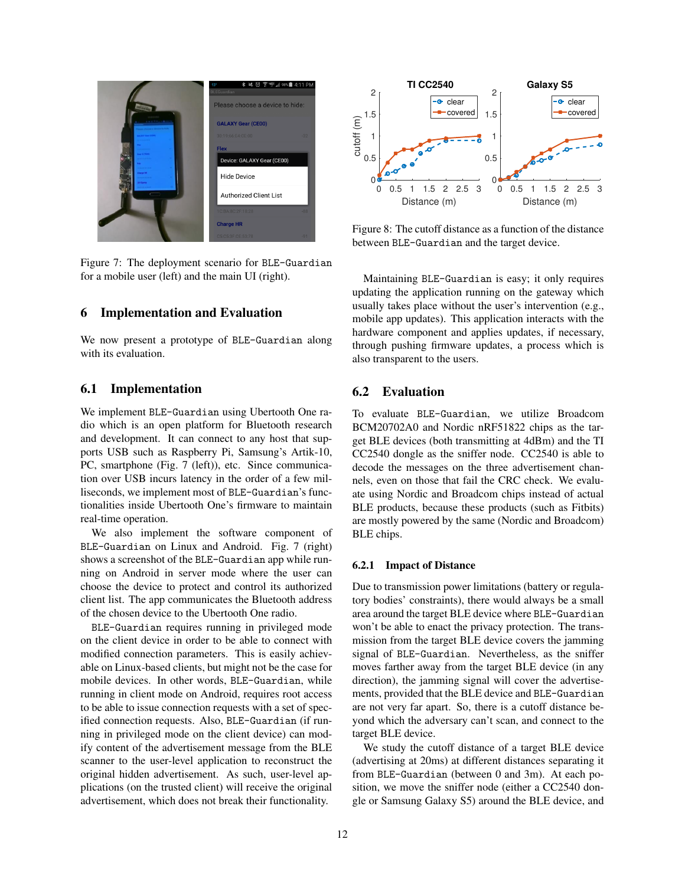

Figure 7: The deployment scenario for BLE-Guardian for a mobile user (left) and the main UI (right).

# 6 Implementation and Evaluation

We now present a prototype of BLE-Guardian along with its evaluation.

### 6.1 Implementation

We implement BLE-Guardian using Ubertooth One radio which is an open platform for Bluetooth research and development. It can connect to any host that supports USB such as Raspberry Pi, Samsung's Artik-10, PC, smartphone (Fig. 7 (left)), etc. Since communication over USB incurs latency in the order of a few milliseconds, we implement most of BLE-Guardian's functionalities inside Ubertooth One's firmware to maintain real-time operation.

We also implement the software component of BLE-Guardian on Linux and Android. Fig. 7 (right) shows a screenshot of the BLE-Guardian app while running on Android in server mode where the user can choose the device to protect and control its authorized client list. The app communicates the Bluetooth address of the chosen device to the Ubertooth One radio.

BLE-Guardian requires running in privileged mode on the client device in order to be able to connect with modified connection parameters. This is easily achievable on Linux-based clients, but might not be the case for mobile devices. In other words, BLE-Guardian, while running in client mode on Android, requires root access to be able to issue connection requests with a set of specified connection requests. Also, BLE-Guardian (if running in privileged mode on the client device) can modify content of the advertisement message from the BLE scanner to the user-level application to reconstruct the original hidden advertisement. As such, user-level applications (on the trusted client) will receive the original advertisement, which does not break their functionality.



Figure 8: The cutoff distance as a function of the distance between BLE-Guardian and the target device.

Maintaining BLE-Guardian is easy; it only requires updating the application running on the gateway which usually takes place without the user's intervention (e.g., mobile app updates). This application interacts with the hardware component and applies updates, if necessary, through pushing firmware updates, a process which is also transparent to the users.

# 6.2 Evaluation

To evaluate BLE-Guardian, we utilize Broadcom BCM20702A0 and Nordic nRF51822 chips as the target BLE devices (both transmitting at 4dBm) and the TI CC2540 dongle as the sniffer node. CC2540 is able to decode the messages on the three advertisement channels, even on those that fail the CRC check. We evaluate using Nordic and Broadcom chips instead of actual BLE products, because these products (such as Fitbits) are mostly powered by the same (Nordic and Broadcom) BLE chips.

#### 6.2.1 Impact of Distance

Due to transmission power limitations (battery or regulatory bodies' constraints), there would always be a small area around the target BLE device where BLE-Guardian won't be able to enact the privacy protection. The transmission from the target BLE device covers the jamming signal of BLE-Guardian. Nevertheless, as the sniffer moves farther away from the target BLE device (in any direction), the jamming signal will cover the advertisements, provided that the BLE device and BLE-Guardian are not very far apart. So, there is a cutoff distance beyond which the adversary can't scan, and connect to the target BLE device.

We study the cutoff distance of a target BLE device (advertising at 20ms) at different distances separating it from BLE-Guardian (between 0 and 3m). At each position, we move the sniffer node (either a CC2540 dongle or Samsung Galaxy S5) around the BLE device, and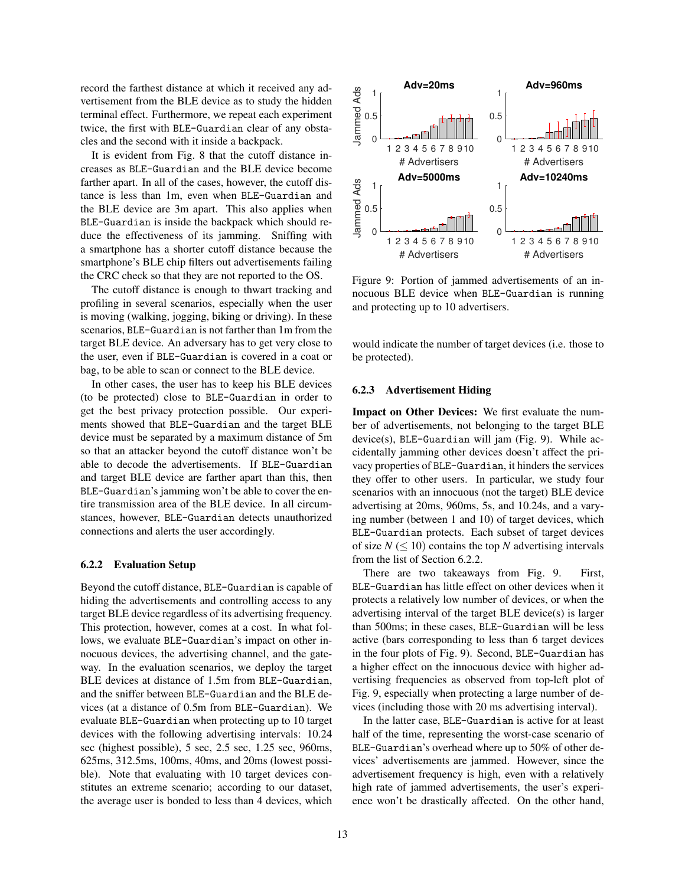record the farthest distance at which it received any advertisement from the BLE device as to study the hidden terminal effect. Furthermore, we repeat each experiment twice, the first with BLE-Guardian clear of any obstacles and the second with it inside a backpack.

It is evident from Fig. 8 that the cutoff distance increases as BLE-Guardian and the BLE device become farther apart. In all of the cases, however, the cutoff distance is less than 1m, even when BLE-Guardian and the BLE device are 3m apart. This also applies when BLE-Guardian is inside the backpack which should reduce the effectiveness of its jamming. Sniffing with a smartphone has a shorter cutoff distance because the smartphone's BLE chip filters out advertisements failing the CRC check so that they are not reported to the OS.

The cutoff distance is enough to thwart tracking and profiling in several scenarios, especially when the user is moving (walking, jogging, biking or driving). In these scenarios, BLE-Guardian is not farther than 1m from the target BLE device. An adversary has to get very close to the user, even if BLE-Guardian is covered in a coat or bag, to be able to scan or connect to the BLE device.

In other cases, the user has to keep his BLE devices (to be protected) close to BLE-Guardian in order to get the best privacy protection possible. Our experiments showed that BLE-Guardian and the target BLE device must be separated by a maximum distance of 5m so that an attacker beyond the cutoff distance won't be able to decode the advertisements. If BLE-Guardian and target BLE device are farther apart than this, then BLE-Guardian's jamming won't be able to cover the entire transmission area of the BLE device. In all circumstances, however, BLE-Guardian detects unauthorized connections and alerts the user accordingly.

#### 6.2.2 Evaluation Setup

Beyond the cutoff distance, BLE-Guardian is capable of hiding the advertisements and controlling access to any target BLE device regardless of its advertising frequency. This protection, however, comes at a cost. In what follows, we evaluate BLE-Guardian's impact on other innocuous devices, the advertising channel, and the gateway. In the evaluation scenarios, we deploy the target BLE devices at distance of 1.5m from BLE-Guardian, and the sniffer between BLE-Guardian and the BLE devices (at a distance of 0.5m from BLE-Guardian). We evaluate BLE-Guardian when protecting up to 10 target devices with the following advertising intervals: 10.24 sec (highest possible), 5 sec, 2.5 sec, 1.25 sec, 960ms, 625ms, 312.5ms, 100ms, 40ms, and 20ms (lowest possible). Note that evaluating with 10 target devices constitutes an extreme scenario; according to our dataset, the average user is bonded to less than 4 devices, which



Figure 9: Portion of jammed advertisements of an innocuous BLE device when BLE-Guardian is running and protecting up to 10 advertisers.

would indicate the number of target devices (i.e. those to be protected).

# 6.2.3 Advertisement Hiding

Impact on Other Devices: We first evaluate the number of advertisements, not belonging to the target BLE device(s), BLE-Guardian will jam (Fig. 9). While accidentally jamming other devices doesn't affect the privacy properties of BLE-Guardian, it hinders the services they offer to other users. In particular, we study four scenarios with an innocuous (not the target) BLE device advertising at 20ms, 960ms, 5s, and 10.24s, and a varying number (between 1 and 10) of target devices, which BLE-Guardian protects. Each subset of target devices of size  $N \leq 10$ ) contains the top N advertising intervals from the list of Section 6.2.2.

There are two takeaways from Fig. 9. First, BLE-Guardian has little effect on other devices when it protects a relatively low number of devices, or when the advertising interval of the target BLE device(s) is larger than 500ms; in these cases, BLE-Guardian will be less active (bars corresponding to less than 6 target devices in the four plots of Fig. 9). Second, BLE-Guardian has a higher effect on the innocuous device with higher advertising frequencies as observed from top-left plot of Fig. 9, especially when protecting a large number of devices (including those with 20 ms advertising interval).

In the latter case, BLE-Guardian is active for at least half of the time, representing the worst-case scenario of BLE-Guardian's overhead where up to 50% of other devices' advertisements are jammed. However, since the advertisement frequency is high, even with a relatively high rate of jammed advertisements, the user's experience won't be drastically affected. On the other hand,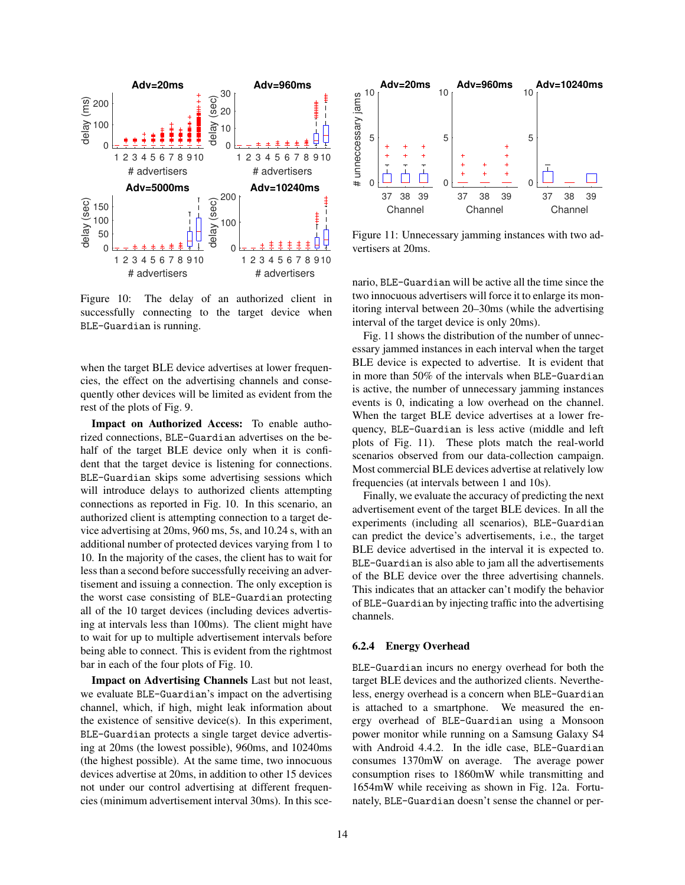

Figure 10: The delay of an authorized client in successfully connecting to the target device when BLE-Guardian is running.

when the target BLE device advertises at lower frequencies, the effect on the advertising channels and consequently other devices will be limited as evident from the rest of the plots of Fig. 9.

Impact on Authorized Access: To enable authorized connections, BLE-Guardian advertises on the behalf of the target BLE device only when it is confident that the target device is listening for connections. BLE-Guardian skips some advertising sessions which will introduce delays to authorized clients attempting connections as reported in Fig. 10. In this scenario, an authorized client is attempting connection to a target device advertising at 20ms, 960 ms, 5s, and 10.24 s, with an additional number of protected devices varying from 1 to 10. In the majority of the cases, the client has to wait for less than a second before successfully receiving an advertisement and issuing a connection. The only exception is the worst case consisting of BLE-Guardian protecting all of the 10 target devices (including devices advertising at intervals less than 100ms). The client might have to wait for up to multiple advertisement intervals before being able to connect. This is evident from the rightmost bar in each of the four plots of Fig. 10.

Impact on Advertising Channels Last but not least, we evaluate BLE-Guardian's impact on the advertising channel, which, if high, might leak information about the existence of sensitive device(s). In this experiment, BLE-Guardian protects a single target device advertising at 20ms (the lowest possible), 960ms, and 10240ms (the highest possible). At the same time, two innocuous devices advertise at 20ms, in addition to other 15 devices not under our control advertising at different frequencies (minimum advertisement interval 30ms). In this sce-



Figure 11: Unnecessary jamming instances with two advertisers at 20ms.

nario, BLE-Guardian will be active all the time since the two innocuous advertisers will force it to enlarge its monitoring interval between 20–30ms (while the advertising interval of the target device is only 20ms).

Fig. 11 shows the distribution of the number of unnecessary jammed instances in each interval when the target BLE device is expected to advertise. It is evident that in more than 50% of the intervals when BLE-Guardian is active, the number of unnecessary jamming instances events is 0, indicating a low overhead on the channel. When the target BLE device advertises at a lower frequency, BLE-Guardian is less active (middle and left plots of Fig. 11). These plots match the real-world scenarios observed from our data-collection campaign. Most commercial BLE devices advertise at relatively low frequencies (at intervals between 1 and 10s).

Finally, we evaluate the accuracy of predicting the next advertisement event of the target BLE devices. In all the experiments (including all scenarios), BLE-Guardian can predict the device's advertisements, i.e., the target BLE device advertised in the interval it is expected to. BLE-Guardian is also able to jam all the advertisements of the BLE device over the three advertising channels. This indicates that an attacker can't modify the behavior of BLE-Guardian by injecting traffic into the advertising channels.

#### 6.2.4 Energy Overhead

BLE-Guardian incurs no energy overhead for both the target BLE devices and the authorized clients. Nevertheless, energy overhead is a concern when BLE-Guardian is attached to a smartphone. We measured the energy overhead of BLE-Guardian using a Monsoon power monitor while running on a Samsung Galaxy S4 with Android 4.4.2. In the idle case, BLE-Guardian consumes 1370mW on average. The average power consumption rises to 1860mW while transmitting and 1654mW while receiving as shown in Fig. 12a. Fortunately, BLE-Guardian doesn't sense the channel or per-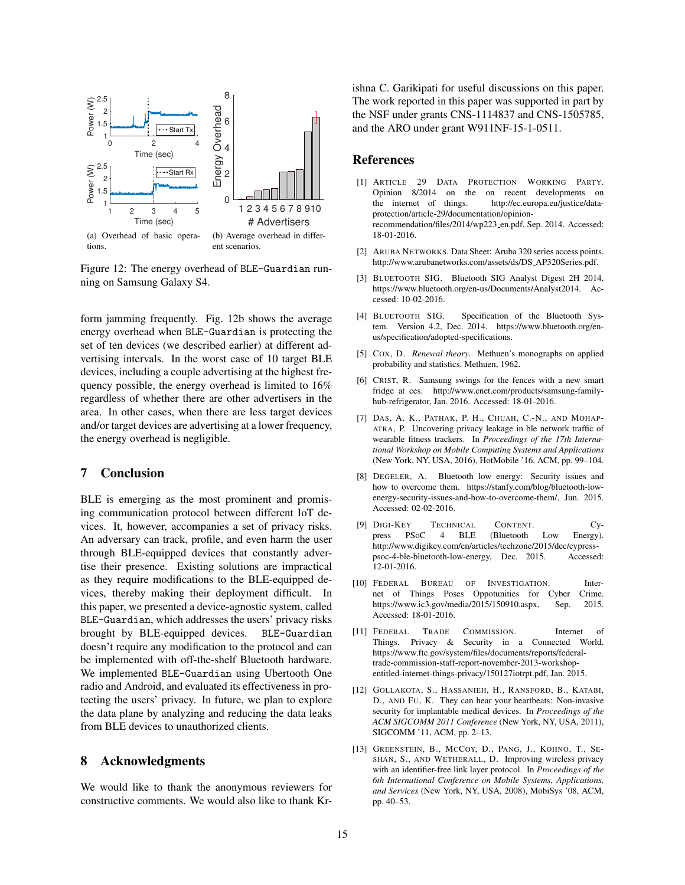

Figure 12: The energy overhead of BLE-Guardian running on Samsung Galaxy S4.

form jamming frequently. Fig. 12b shows the average energy overhead when BLE-Guardian is protecting the set of ten devices (we described earlier) at different advertising intervals. In the worst case of 10 target BLE devices, including a couple advertising at the highest frequency possible, the energy overhead is limited to 16% regardless of whether there are other advertisers in the area. In other cases, when there are less target devices and/or target devices are advertising at a lower frequency, the energy overhead is negligible.

## 7 Conclusion

BLE is emerging as the most prominent and promising communication protocol between different IoT devices. It, however, accompanies a set of privacy risks. An adversary can track, profile, and even harm the user through BLE-equipped devices that constantly advertise their presence. Existing solutions are impractical as they require modifications to the BLE-equipped devices, thereby making their deployment difficult. In this paper, we presented a device-agnostic system, called BLE-Guardian, which addresses the users' privacy risks brought by BLE-equipped devices. BLE-Guardian doesn't require any modification to the protocol and can be implemented with off-the-shelf Bluetooth hardware. We implemented BLE-Guardian using Ubertooth One radio and Android, and evaluated its effectiveness in protecting the users' privacy. In future, we plan to explore the data plane by analyzing and reducing the data leaks from BLE devices to unauthorized clients.

## 8 Acknowledgments

We would like to thank the anonymous reviewers for constructive comments. We would also like to thank Krishna C. Garikipati for useful discussions on this paper. The work reported in this paper was supported in part by the NSF under grants CNS-1114837 and CNS-1505785, and the ARO under grant W911NF-15-1-0511.

### References

- [1] ARTICLE 29 DATA PROTECTION WORKING PARTY. Opinion 8/2014 on the on recent developments on the internet of things. http://ec.europa.eu/justice/dataprotection/article-29/documentation/opinionrecommendation/files/2014/wp223 en.pdf, Sep. 2014. Accessed: 18-01-2016.
- [2] ARUBA NETWORKS. Data Sheet: Aruba 320 series access points. http://www.arubanetworks.com/assets/ds/DS AP320Series.pdf.
- [3] BLUETOOTH SIG. Bluetooth SIG Analyst Digest 2H 2014. https://www.bluetooth.org/en-us/Documents/Analyst2014. Accessed: 10-02-2016.
- [4] BLUETOOTH SIG. Specification of the Bluetooth System. Version 4.2, Dec. 2014. https://www.bluetooth.org/enus/specification/adopted-specifications.
- [5] COX, D. *Renewal theory*. Methuen's monographs on applied probability and statistics. Methuen, 1962.
- [6] CRIST, R. Samsung swings for the fences with a new smart fridge at ces. http://www.cnet.com/products/samsung-familyhub-refrigerator, Jan. 2016. Accessed: 18-01-2016.
- [7] DAS, A. K., PATHAK, P. H., CHUAH, C.-N., AND MOHAP-ATRA, P. Uncovering privacy leakage in ble network traffic of wearable fitness trackers. In *Proceedings of the 17th International Workshop on Mobile Computing Systems and Applications* (New York, NY, USA, 2016), HotMobile '16, ACM, pp. 99–104.
- [8] DEGELER, A. Bluetooth low energy: Security issues and how to overcome them. https://stanfy.com/blog/bluetooth-lowenergy-security-issues-and-how-to-overcome-them/, Jun. 2015. Accessed: 02-02-2016.
- [9] DIGI-KEY TECHNICAL CONTENT. Cypress PSoC 4 BLE (Bluetooth Low Energy). press PSoC 4 BLE (Bluetooth Low Energy). http://www.digikey.com/en/articles/techzone/2015/dec/cypresspsoc-4-ble-bluetooth-low-energy, Dec. 2015. Accessed: 12-01-2016.
- [10] FEDERAL BUREAU OF INVESTIGATION. Internet of Things Poses Oppotunities for Cyber Crime. https://www.ic3.gov/media/2015/150910.aspx, Sep. 2015. Accessed: 18-01-2016.
- [11] FEDERAL TRADE COMMISSION. Internet of Things, Privacy & Security in a Connected World. https://www.ftc.gov/system/files/documents/reports/federaltrade-commission-staff-report-november-2013-workshopentitled-internet-things-privacy/150127iotrpt.pdf, Jan. 2015.
- [12] GOLLAKOTA, S., HASSANIEH, H., RANSFORD, B., KATABI, D., AND FU, K. They can hear your heartbeats: Non-invasive security for implantable medical devices. In *Proceedings of the ACM SIGCOMM 2011 Conference* (New York, NY, USA, 2011), SIGCOMM '11, ACM, pp. 2–13.
- [13] GREENSTEIN, B., MCCOY, D., PANG, J., KOHNO, T., SE-SHAN, S., AND WETHERALL, D. Improving wireless privacy with an identifier-free link layer protocol. In *Proceedings of the 6th International Conference on Mobile Systems, Applications, and Services* (New York, NY, USA, 2008), MobiSys '08, ACM, pp. 40–53.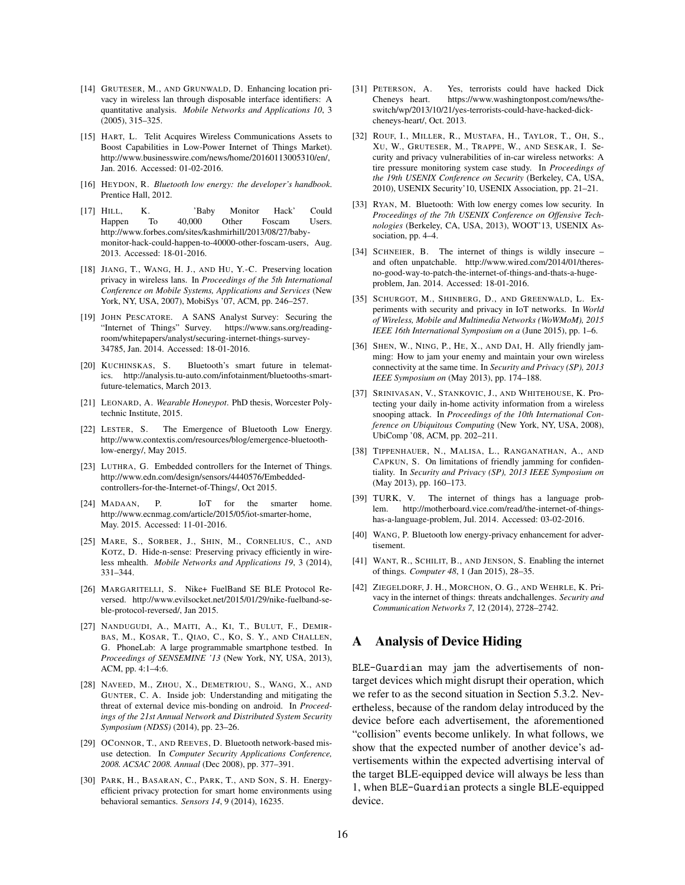- [14] GRUTESER, M., AND GRUNWALD, D. Enhancing location privacy in wireless lan through disposable interface identifiers: A quantitative analysis. *Mobile Networks and Applications 10*, 3 (2005), 315–325.
- [15] HART, L. Telit Acquires Wireless Communications Assets to Boost Capabilities in Low-Power Internet of Things Market). http://www.businesswire.com/news/home/20160113005310/en/, Jan. 2016. Accessed: 01-02-2016.
- [16] HEYDON, R. *Bluetooth low energy: the developer's handbook*. Prentice Hall, 2012.
- [17] HILL, K. 'Baby Monitor Hack' Could Happen To 40,000 Other Foscam Users. http://www.forbes.com/sites/kashmirhill/2013/08/27/babymonitor-hack-could-happen-to-40000-other-foscam-users, Aug. 2013. Accessed: 18-01-2016.
- [18] JIANG, T., WANG, H. J., AND HU, Y.-C. Preserving location privacy in wireless lans. In *Proceedings of the 5th International Conference on Mobile Systems, Applications and Services* (New York, NY, USA, 2007), MobiSys '07, ACM, pp. 246–257.
- [19] JOHN PESCATORE. A SANS Analyst Survey: Securing the "Internet of Things" Survey. https://www.sans.org/readingroom/whitepapers/analyst/securing-internet-things-survey-34785, Jan. 2014. Accessed: 18-01-2016.
- [20] KUCHINSKAS, S. Bluetooth's smart future in telematics. http://analysis.tu-auto.com/infotainment/bluetooths-smartfuture-telematics, March 2013.
- [21] LEONARD, A. *Wearable Honeypot*. PhD thesis, Worcester Polytechnic Institute, 2015.
- [22] LESTER, S. The Emergence of Bluetooth Low Energy. http://www.contextis.com/resources/blog/emergence-bluetoothlow-energy/, May 2015.
- [23] LUTHRA, G. Embedded controllers for the Internet of Things. http://www.edn.com/design/sensors/4440576/Embeddedcontrollers-for-the-Internet-of-Things/, Oct 2015.
- [24] MADAAN, P. IoT for the smarter home. http://www.ecnmag.com/article/2015/05/iot-smarter-home, May. 2015. Accessed: 11-01-2016.
- [25] MARE, S., SORBER, J., SHIN, M., CORNELIUS, C., AND KOTZ, D. Hide-n-sense: Preserving privacy efficiently in wireless mhealth. *Mobile Networks and Applications 19*, 3 (2014), 331–344.
- [26] MARGARITELLI, S. Nike+ FuelBand SE BLE Protocol Reversed. http://www.evilsocket.net/2015/01/29/nike-fuelband-seble-protocol-reversed/, Jan 2015.
- [27] NANDUGUDI, A., MAITI, A., KI, T., BULUT, F., DEMIR-BAS, M., KOSAR, T., QIAO, C., KO, S. Y., AND CHALLEN, G. PhoneLab: A large programmable smartphone testbed. In *Proceedings of SENSEMINE '13* (New York, NY, USA, 2013), ACM, pp. 4:1–4:6.
- [28] NAVEED, M., ZHOU, X., DEMETRIOU, S., WANG, X., AND GUNTER, C. A. Inside job: Understanding and mitigating the threat of external device mis-bonding on android. In *Proceedings of the 21st Annual Network and Distributed System Security Symposium (NDSS)* (2014), pp. 23–26.
- [29] OCONNOR, T., AND REEVES, D. Bluetooth network-based misuse detection. In *Computer Security Applications Conference, 2008. ACSAC 2008. Annual* (Dec 2008), pp. 377–391.
- [30] PARK, H., BASARAN, C., PARK, T., AND SON, S. H. Energyefficient privacy protection for smart home environments using behavioral semantics. *Sensors 14*, 9 (2014), 16235.
- [31] PETERSON, A. Yes, terrorists could have hacked Dick Cheneys heart. https://www.washingtonpost.com/news/theswitch/wp/2013/10/21/yes-terrorists-could-have-hacked-dickcheneys-heart/, Oct. 2013.
- [32] ROUF, I., MILLER, R., MUSTAFA, H., TAYLOR, T., OH, S., XU, W., GRUTESER, M., TRAPPE, W., AND SESKAR, I. Security and privacy vulnerabilities of in-car wireless networks: A tire pressure monitoring system case study. In *Proceedings of the 19th USENIX Conference on Security* (Berkeley, CA, USA, 2010), USENIX Security'10, USENIX Association, pp. 21–21.
- [33] RYAN, M. Bluetooth: With low energy comes low security. In *Proceedings of the 7th USENIX Conference on Offensive Technologies* (Berkeley, CA, USA, 2013), WOOT'13, USENIX Association, pp. 4–4.
- [34] SCHNEIER, B. The internet of things is wildly insecure and often unpatchable. http://www.wired.com/2014/01/theresno-good-way-to-patch-the-internet-of-things-and-thats-a-hugeproblem, Jan. 2014. Accessed: 18-01-2016.
- [35] SCHURGOT, M., SHINBERG, D., AND GREENWALD, L. Experiments with security and privacy in IoT networks. In *World of Wireless, Mobile and Multimedia Networks (WoWMoM), 2015 IEEE 16th International Symposium on a* (June 2015), pp. 1–6.
- [36] SHEN, W., NING, P., HE, X., AND DAI, H. Ally friendly jamming: How to jam your enemy and maintain your own wireless connectivity at the same time. In *Security and Privacy (SP), 2013 IEEE Symposium on* (May 2013), pp. 174–188.
- [37] SRINIVASAN, V., STANKOVIC, J., AND WHITEHOUSE, K. Protecting your daily in-home activity information from a wireless snooping attack. In *Proceedings of the 10th International Conference on Ubiquitous Computing* (New York, NY, USA, 2008), UbiComp '08, ACM, pp. 202–211.
- [38] TIPPENHAUER, N., MALISA, L., RANGANATHAN, A., AND CAPKUN, S. On limitations of friendly jamming for confidentiality. In *Security and Privacy (SP), 2013 IEEE Symposium on* (May 2013), pp. 160–173.
- [39] TURK, V. The internet of things has a language problem. http://motherboard.vice.com/read/the-internet-of-thingshas-a-language-problem, Jul. 2014. Accessed: 03-02-2016.
- [40] WANG, P. Bluetooth low energy-privacy enhancement for advertisement.
- [41] WANT, R., SCHILIT, B., AND JENSON, S. Enabling the internet of things. *Computer 48*, 1 (Jan 2015), 28–35.
- [42] ZIEGELDORF, J. H., MORCHON, O. G., AND WEHRLE, K. Privacy in the internet of things: threats andchallenges. *Security and Communication Networks 7*, 12 (2014), 2728–2742.

### A Analysis of Device Hiding

BLE-Guardian may jam the advertisements of nontarget devices which might disrupt their operation, which we refer to as the second situation in Section 5.3.2. Nevertheless, because of the random delay introduced by the device before each advertisement, the aforementioned "collision" events become unlikely. In what follows, we show that the expected number of another device's advertisements within the expected advertising interval of the target BLE-equipped device will always be less than 1, when BLE-Guardian protects a single BLE-equipped device.